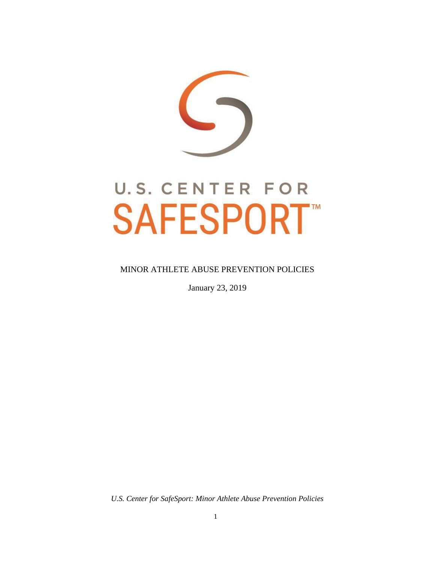

#### MINOR ATHLETE ABUSE PREVENTION POLICIES

January 23, 2019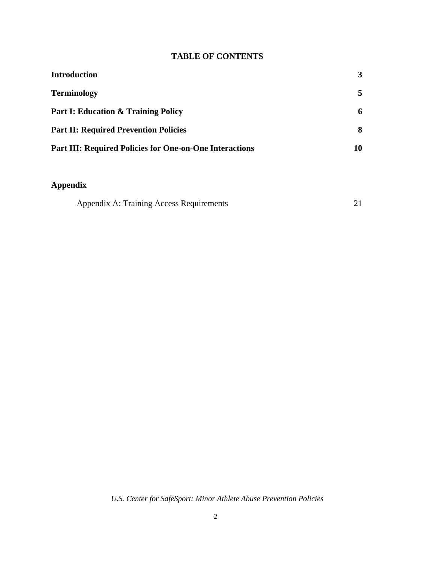# **TABLE OF CONTENTS**

| <b>Introduction</b>                                            | 3  |
|----------------------------------------------------------------|----|
| <b>Terminology</b>                                             | 5  |
| <b>Part I: Education &amp; Training Policy</b>                 | 6  |
| <b>Part II: Required Prevention Policies</b>                   | 8  |
| <b>Part III: Required Policies for One-on-One Interactions</b> | 10 |

# **Appendix**

| Appendix A: Training Access Requirements |  |  |
|------------------------------------------|--|--|
|------------------------------------------|--|--|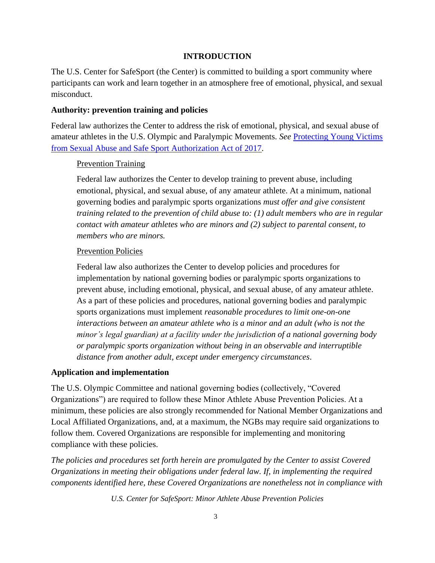#### **INTRODUCTION**

<span id="page-2-0"></span>The U.S. Center for SafeSport (the Center) is committed to building a sport community where participants can work and learn together in an atmosphere free of emotional, physical, and sexual misconduct.

#### **Authority: prevention training and policies**

Federal law authorizes the Center to address the risk of emotional, physical, and sexual abuse of amateur athletes in the U.S. Olympic and Paralympic Movements. *See* [Protecting Young Victims](https://77media.blob.core.windows.net/uscss/1520354611809.fact-sheet---protecting-young-victims-from-sexual-abuse-and-safe-sport-authorization-act-of-2017.pdf) [from Sexual Abuse and Safe Sport Authorization Act of 2017.](https://77media.blob.core.windows.net/uscss/1520354611809.fact-sheet---protecting-young-victims-from-sexual-abuse-and-safe-sport-authorization-act-of-2017.pdf)

#### **Prevention Training**

Federal law authorizes the Center to develop training to prevent abuse, including emotional, physical, and sexual abuse, of any amateur athlete. At a minimum, national governing bodies and paralympic sports organizations *must offer and give consistent training related to the prevention of child abuse to: (1) adult members who are in regular contact with amateur athletes who are minors and (2) subject to parental consent, to members who are minors.*

#### Prevention Policies

Federal law also authorizes the Center to develop policies and procedures for implementation by national governing bodies or paralympic sports organizations to prevent abuse, including emotional, physical, and sexual abuse, of any amateur athlete. As a part of these policies and procedures, national governing bodies and paralympic sports organizations must implement *reasonable procedures to limit one-on-one interactions between an amateur athlete who is a minor and an adult (who is not the minor's legal guardian) at a facility under the jurisdiction of a national governing body or paralympic sports organization without being in an observable and interruptible distance from another adult, except under emergency circumstances*.

#### **Application and implementation**

The U.S. Olympic Committee and national governing bodies (collectively, "Covered Organizations") are required to follow these Minor Athlete Abuse Prevention Policies. At a minimum, these policies are also strongly recommended for National Member Organizations and Local Affiliated Organizations, and, at a maximum, the NGBs may require said organizations to follow them. Covered Organizations are responsible for implementing and monitoring compliance with these policies.

*The policies and procedures set forth herein are promulgated by the Center to assist Covered Organizations in meeting their obligations under federal law. If, in implementing the required components identified here, these Covered Organizations are nonetheless not in compliance with*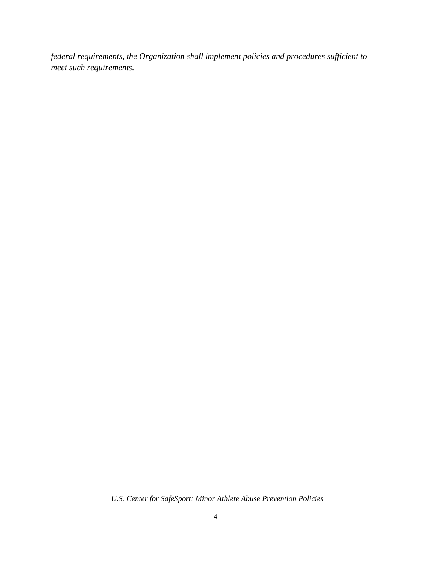*federal requirements, the Organization shall implement policies and procedures sufficient to meet such requirements.*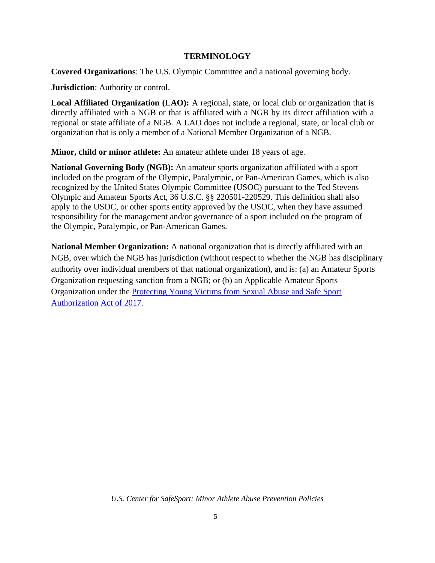#### **TERMINOLOGY**

<span id="page-4-0"></span>**Covered Organizations**: The U.S. Olympic Committee and a national governing body.

**Jurisdiction**: Authority or control.

**Local Affiliated Organization (LAO):** A regional, state, or local club or organization that is directly affiliated with a NGB or that is affiliated with a NGB by its direct affiliation with a regional or state affiliate of a NGB. A LAO does not include a regional, state, or local club or organization that is only a member of a National Member Organization of a NGB.

**Minor, child or minor athlete:** An amateur athlete under 18 years of age.

**National Governing Body (NGB):** An amateur sports organization affiliated with a sport included on the program of the Olympic, Paralympic, or Pan-American Games, which is also recognized by the United States Olympic Committee (USOC) pursuant to the Ted Stevens Olympic and Amateur Sports Act, 36 U.S.C. §§ 220501-220529. This definition shall also apply to the USOC, or other sports entity approved by the USOC, when they have assumed responsibility for the management and/or governance of a sport included on the program of the Olympic, Paralympic, or Pan-American Games.

**National Member Organization:** A national organization that is directly affiliated with an NGB, over which the NGB has jurisdiction (without respect to whether the NGB has disciplinary authority over individual members of that national organization), and is: (a) an Amateur Sports Organization requesting sanction from a NGB; or (b) an Applicable Amateur Sports Organization under the [Protecting Young Victims from Sexual Abuse and Safe Sport](https://77media.blob.core.windows.net/uscss/1520354611809.fact-sheet---protecting-young-victims-from-sexual-abuse-and-safe-sport-authorization-act-of-2017.pdf) [Authorization Act of](https://77media.blob.core.windows.net/uscss/1520354611809.fact-sheet---protecting-young-victims-from-sexual-abuse-and-safe-sport-authorization-act-of-2017.pdf) 2017.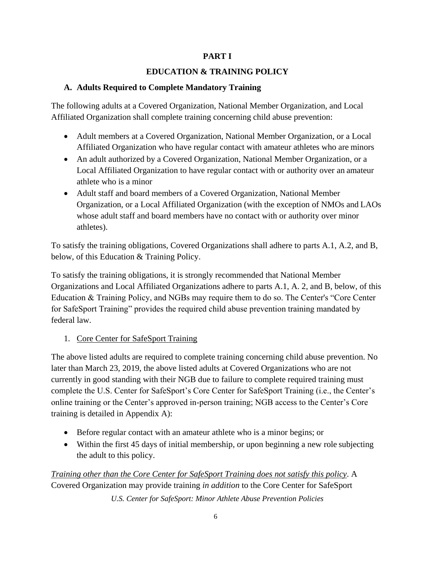## **PART I**

# **EDUCATION & TRAINING POLICY**

## **A. Adults Required to Complete Mandatory Training**

The following adults at a Covered Organization, National Member Organization, and Local Affiliated Organization shall complete training concerning child abuse prevention:

- Adult members at a Covered Organization, National Member Organization, or a Local Affiliated Organization who have regular contact with amateur athletes who are minors
- An adult authorized by a Covered Organization, National Member Organization, or a Local Affiliated Organization to have regular contact with or authority over an amateur athlete who is a minor
- Adult staff and board members of a Covered Organization, National Member Organization, or a Local Affiliated Organization (with the exception of NMOs and LAOs whose adult staff and board members have no contact with or authority over minor athletes).

To satisfy the training obligations, Covered Organizations shall adhere to parts A.1, A.2, and B, below, of this Education & Training Policy.

To satisfy the training obligations, it is strongly recommended that National Member Organizations and Local Affiliated Organizations adhere to parts A.1, A. 2, and B, below, of this Education & Training Policy, and NGBs may require them to do so. The Center's "Core Center for SafeSport Training" provides the required child abuse prevention training mandated by federal law.

# 1. Core Center for SafeSport Training

The above listed adults are required to complete training concerning child abuse prevention. No later than March 23, 2019, the above listed adults at Covered Organizations who are not currently in good standing with their NGB due to failure to complete required training must complete the U.S. Center for SafeSport's Core Center for SafeSport Training (i.e., the Center's online training or the Center's approved in-person training; NGB access to the Center's Core training is detailed in Appendix A):

- Before regular contact with an amateur athlete who is a minor begins; or
- Within the first 45 days of initial membership, or upon beginning a new role subjecting the adult to this policy.

*U.S. Center for SafeSport: Minor Athlete Abuse Prevention Policies Training other than the Core Center for SafeSport Training does not satisfy this policy*. A Covered Organization may provide training *in addition* to the Core Center for SafeSport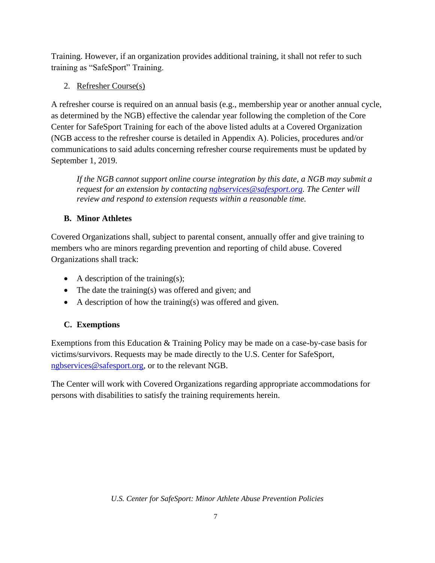Training. However, if an organization provides additional training, it shall not refer to such training as "SafeSport" Training.

2. Refresher Course(s)

A refresher course is required on an annual basis (e.g., membership year or another annual cycle, as determined by the NGB) effective the calendar year following the completion of the Core Center for SafeSport Training for each of the above listed adults at a Covered Organization (NGB access to the refresher course is detailed in Appendix A). Policies, procedures and/or communications to said adults concerning refresher course requirements must be updated by September 1, 2019.

*If the NGB cannot support online course integration by this date, a NGB may submit a request for an extension by contacting [ngbservices@safesport.org.](mailto:training@safesport.org) The Center will review and respond to extension requests within a reasonable time.*

# **B. Minor Athletes**

Covered Organizations shall, subject to parental consent, annually offer and give training to members who are minors regarding prevention and reporting of child abuse. Covered Organizations shall track:

- A description of the training $(s)$ ;
- The date the training(s) was offered and given; and
- A description of how the training(s) was offered and given.

# **C. Exemptions**

Exemptions from this Education & Training Policy may be made on a case-by-case basis for victims/survivors. Requests may be made directly to the U.S. Center for SafeSport, [ngbservices@safesport.org,](mailto:training@safesport.org) or to the relevant NGB.

The Center will work with Covered Organizations regarding appropriate accommodations for persons with disabilities to satisfy the training requirements herein.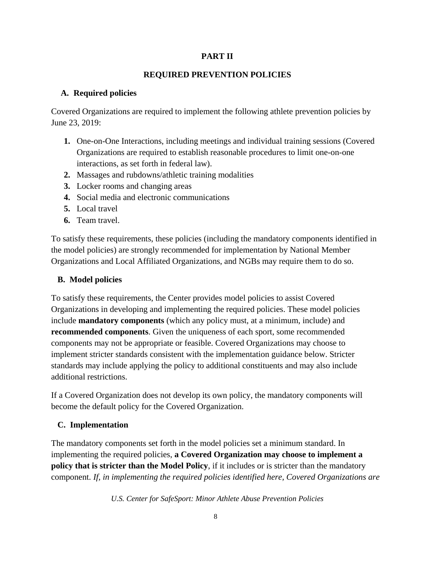## **PART II**

# **REQUIRED PREVENTION POLICIES**

## **A. Required policies**

Covered Organizations are required to implement the following athlete prevention policies by June 23, 2019:

- **1.** One-on-One Interactions, including meetings and individual training sessions (Covered Organizations are required to establish reasonable procedures to limit one-on-one interactions, as set forth in federal law).
- **2.** Massages and rubdowns/athletic training modalities
- **3.** Locker rooms and changing areas
- **4.** Social media and electronic communications
- **5.** Local travel
- **6.** Team travel.

To satisfy these requirements, these policies (including the mandatory components identified in the model policies) are strongly recommended for implementation by National Member Organizations and Local Affiliated Organizations, and NGBs may require them to do so.

# **B. Model policies**

To satisfy these requirements, the Center provides model policies to assist Covered Organizations in developing and implementing the required policies. These model policies include **mandatory components** (which any policy must, at a minimum, include) and **recommended components**. Given the uniqueness of each sport, some recommended components may not be appropriate or feasible. Covered Organizations may choose to implement stricter standards consistent with the implementation guidance below. Stricter standards may include applying the policy to additional constituents and may also include additional restrictions.

If a Covered Organization does not develop its own policy, the mandatory components will become the default policy for the Covered Organization.

# **C. Implementation**

The mandatory components set forth in the model policies set a minimum standard. In implementing the required policies, **a Covered Organization may choose to implement a policy that is stricter than the Model Policy**, if it includes or is stricter than the mandatory component. *If, in implementing the required policies identified here, Covered Organizations are*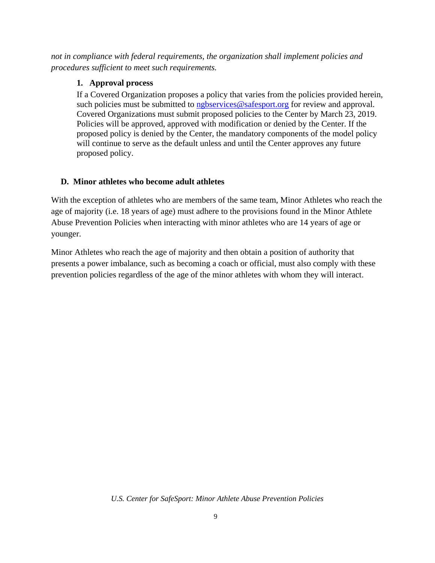*not in compliance with federal requirements, the organization shall implement policies and procedures sufficient to meet such requirements.*

## **1. Approval process**

If a Covered Organization proposes a policy that varies from the policies provided herein, such policies must be submitted to [ngbservices@safesport.org](mailto:training@safesport.org) for review and approval. Covered Organizations must submit proposed policies to the Center by March 23, 2019. Policies will be approved, approved with modification or denied by the Center. If the proposed policy is denied by the Center, the mandatory components of the model policy will continue to serve as the default unless and until the Center approves any future proposed policy.

# **D. Minor athletes who become adult athletes**

With the exception of athletes who are members of the same team, Minor Athletes who reach the age of majority (i.e. 18 years of age) must adhere to the provisions found in the Minor Athlete Abuse Prevention Policies when interacting with minor athletes who are 14 years of age or younger.

Minor Athletes who reach the age of majority and then obtain a position of authority that presents a power imbalance, such as becoming a coach or official, must also comply with these prevention policies regardless of the age of the minor athletes with whom they will interact.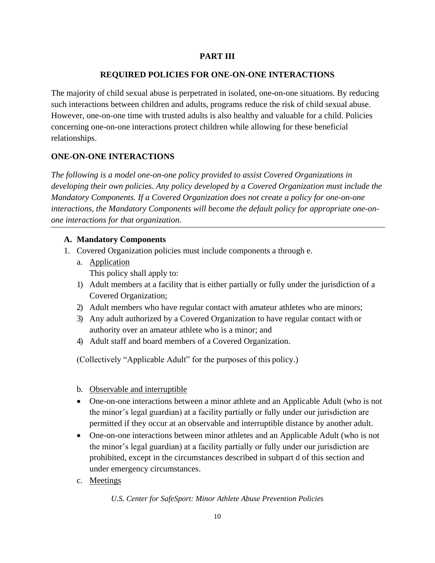#### **PART III**

#### **REQUIRED POLICIES FOR ONE-ON-ONE INTERACTIONS**

The majority of child sexual abuse is perpetrated in isolated, one-on-one situations. By reducing such interactions between children and adults, programs reduce the risk of child sexual abuse. However, one-on-one time with trusted adults is also healthy and valuable for a child. Policies concerning one-on-one interactions protect children while allowing for these beneficial relationships.

## **ONE-ON-ONE INTERACTIONS**

*The following is a model one-on-one policy provided to assist Covered Organizations in developing their own policies. Any policy developed by a Covered Organization must include the Mandatory Components. If a Covered Organization does not create a policy for one-on-one interactions, the Mandatory Components will become the default policy for appropriate one-onone interactions for that organization.*

#### **A. Mandatory Components**

- 1. Covered Organization policies must include components a through e.
	- a. Application This policy shall apply to:
	- 1) Adult members at a facility that is either partially or fully under the jurisdiction of a Covered Organization;
	- 2) Adult members who have regular contact with amateur athletes who are minors;
	- 3) Any adult authorized by a Covered Organization to have regular contact with or authority over an amateur athlete who is a minor; and
	- 4) Adult staff and board members of a Covered Organization.

(Collectively "Applicable Adult" for the purposes of this policy.)

#### b. Observable and interruptible

- One-on-one interactions between a minor athlete and an Applicable Adult (who is not the minor's legal guardian) at a facility partially or fully under our jurisdiction are permitted if they occur at an observable and interruptible distance by another adult.
- One-on-one interactions between minor athletes and an Applicable Adult (who is not the minor's legal guardian) at a facility partially or fully under our jurisdiction are prohibited, except in the circumstances described in subpart d of this section and under emergency circumstances.
- c. Meetings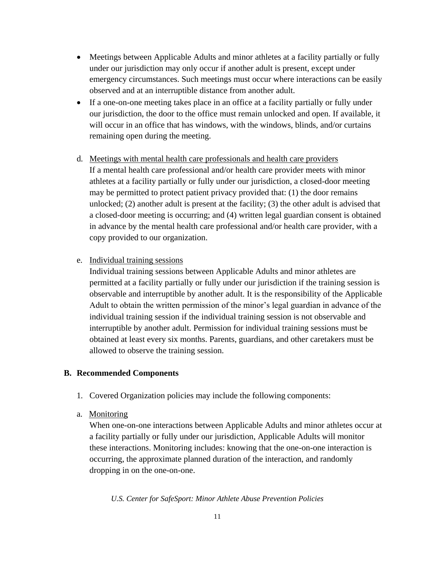- Meetings between Applicable Adults and minor athletes at a facility partially or fully under our jurisdiction may only occur if another adult is present, except under emergency circumstances. Such meetings must occur where interactions can be easily observed and at an interruptible distance from another adult.
- If a one-on-one meeting takes place in an office at a facility partially or fully under our jurisdiction, the door to the office must remain unlocked and open. If available, it will occur in an office that has windows, with the windows, blinds, and/or curtains remaining open during the meeting.
- d. Meetings with mental health care professionals and health care providers If a mental health care professional and/or health care provider meets with minor athletes at a facility partially or fully under our jurisdiction, a closed-door meeting may be permitted to protect patient privacy provided that: (1) the door remains unlocked; (2) another adult is present at the facility; (3) the other adult is advised that a closed-door meeting is occurring; and (4) written legal guardian consent is obtained in advance by the mental health care professional and/or health care provider, with a copy provided to our organization.
- e. Individual training sessions

Individual training sessions between Applicable Adults and minor athletes are permitted at a facility partially or fully under our jurisdiction if the training session is observable and interruptible by another adult. It is the responsibility of the Applicable Adult to obtain the written permission of the minor's legal guardian in advance of the individual training session if the individual training session is not observable and interruptible by another adult. Permission for individual training sessions must be obtained at least every six months. Parents, guardians, and other caretakers must be allowed to observe the training session.

#### **B. Recommended Components**

- 1. Covered Organization policies may include the following components:
- a. Monitoring

When one-on-one interactions between Applicable Adults and minor athletes occur at a facility partially or fully under our jurisdiction, Applicable Adults will monitor these interactions. Monitoring includes: knowing that the one-on-one interaction is occurring, the approximate planned duration of the interaction, and randomly dropping in on the one-on-one.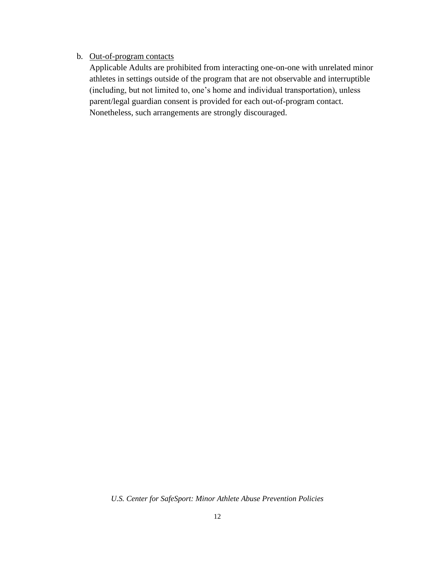#### b. Out-of-program contacts

Applicable Adults are prohibited from interacting one-on-one with unrelated minor athletes in settings outside of the program that are not observable and interruptible (including, but not limited to, one's home and individual transportation), unless parent/legal guardian consent is provided for each out-of-program contact. Nonetheless, such arrangements are strongly discouraged.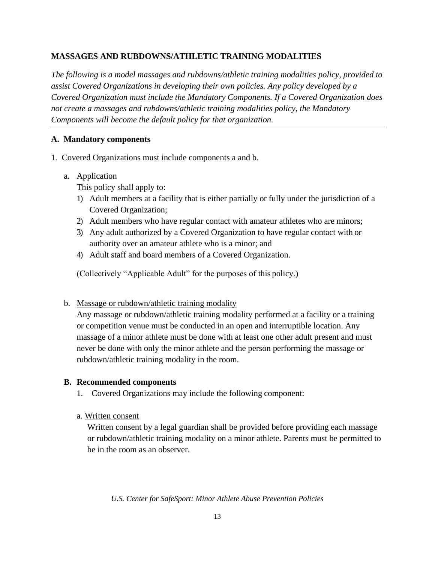## **MASSAGES AND RUBDOWNS/ATHLETIC TRAINING MODALITIES**

*The following is a model massages and rubdowns/athletic training modalities policy, provided to assist Covered Organizations in developing their own policies. Any policy developed by a Covered Organization must include the Mandatory Components. If a Covered Organization does not create a massages and rubdowns/athletic training modalities policy, the Mandatory Components will become the default policy for that organization.*

## **A. Mandatory components**

- 1. Covered Organizations must include components a and b.
	- a. Application

This policy shall apply to:

- 1) Adult members at a facility that is either partially or fully under the jurisdiction of a Covered Organization;
- 2) Adult members who have regular contact with amateur athletes who are minors;
- 3) Any adult authorized by a Covered Organization to have regular contact with or authority over an amateur athlete who is a minor; and
- 4) Adult staff and board members of a Covered Organization.

(Collectively "Applicable Adult" for the purposes of this policy.)

## b. Massage or rubdown/athletic training modality

Any massage or rubdown/athletic training modality performed at a facility or a training or competition venue must be conducted in an open and interruptible location. Any massage of a minor athlete must be done with at least one other adult present and must never be done with only the minor athlete and the person performing the massage or rubdown/athletic training modality in the room.

## **B. Recommended components**

- 1. Covered Organizations may include the following component:
- a. Written consent

Written consent by a legal guardian shall be provided before providing each massage or rubdown/athletic training modality on a minor athlete. Parents must be permitted to be in the room as an observer.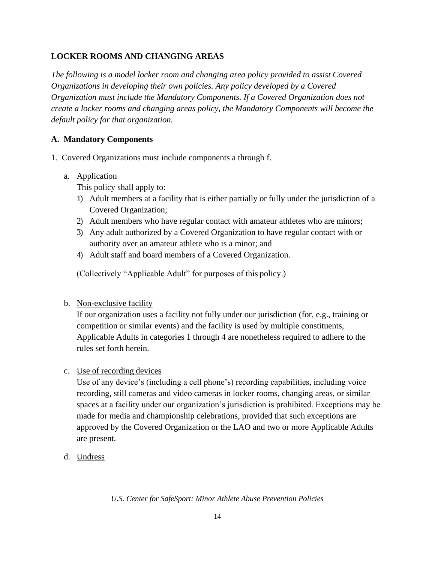## **LOCKER ROOMS AND CHANGING AREAS**

*The following is a model locker room and changing area policy provided to assist Covered Organizations in developing their own policies. Any policy developed by a Covered Organization must include the Mandatory Components. If a Covered Organization does not create a locker rooms and changing areas policy, the Mandatory Components will become the default policy for that organization.*

## **A. Mandatory Components**

- 1. Covered Organizations must include components a through f.
	- a. Application

This policy shall apply to:

- 1) Adult members at a facility that is either partially or fully under the jurisdiction of a Covered Organization;
- 2) Adult members who have regular contact with amateur athletes who are minors;
- 3) Any adult authorized by a Covered Organization to have regular contact with or authority over an amateur athlete who is a minor; and
- 4) Adult staff and board members of a Covered Organization.

(Collectively "Applicable Adult" for purposes of this policy.)

b. Non-exclusive facility

If our organization uses a facility not fully under our jurisdiction (for, e.g., training or competition or similar events) and the facility is used by multiple constituents, Applicable Adults in categories 1 through 4 are nonetheless required to adhere to the rules set forth herein.

c. Use of recording devices

Use of any device's (including a cell phone's) recording capabilities, including voice recording, still cameras and video cameras in locker rooms, changing areas, or similar spaces at a facility under our organization's jurisdiction is prohibited. Exceptions may be made for media and championship celebrations, provided that such exceptions are approved by the Covered Organization or the LAO and two or more Applicable Adults are present.

d. Undress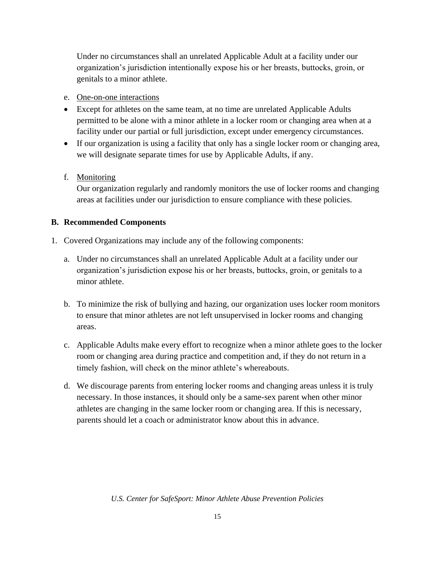Under no circumstances shall an unrelated Applicable Adult at a facility under our organization's jurisdiction intentionally expose his or her breasts, buttocks, groin, or genitals to a minor athlete.

- e. One-on-one interactions
- Except for athletes on the same team, at no time are unrelated Applicable Adults permitted to be alone with a minor athlete in a locker room or changing area when at a facility under our partial or full jurisdiction, except under emergency circumstances.
- If our organization is using a facility that only has a single locker room or changing area, we will designate separate times for use by Applicable Adults, if any.

# f. Monitoring

Our organization regularly and randomly monitors the use of locker rooms and changing areas at facilities under our jurisdiction to ensure compliance with these policies.

# **B. Recommended Components**

- 1. Covered Organizations may include any of the following components:
	- a. Under no circumstances shall an unrelated Applicable Adult at a facility under our organization's jurisdiction expose his or her breasts, buttocks, groin, or genitals to a minor athlete.
	- b. To minimize the risk of bullying and hazing, our organization uses locker room monitors to ensure that minor athletes are not left unsupervised in locker rooms and changing areas.
	- c. Applicable Adults make every effort to recognize when a minor athlete goes to the locker room or changing area during practice and competition and, if they do not return in a timely fashion, will check on the minor athlete's whereabouts.
	- d. We discourage parents from entering locker rooms and changing areas unless it is truly necessary. In those instances, it should only be a same-sex parent when other minor athletes are changing in the same locker room or changing area. If this is necessary, parents should let a coach or administrator know about this in advance.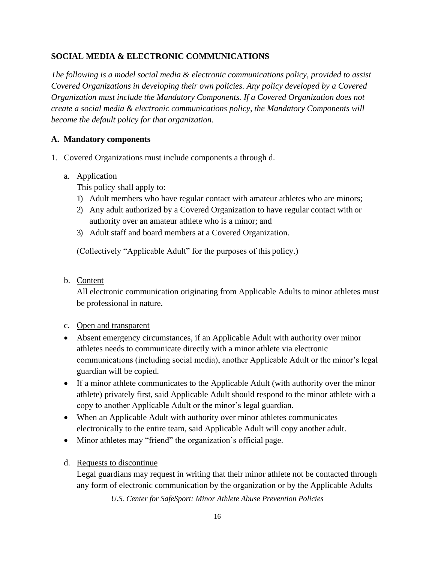## **SOCIAL MEDIA & ELECTRONIC COMMUNICATIONS**

*The following is a model social media & electronic communications policy, provided to assist Covered Organizations in developing their own policies. Any policy developed by a Covered Organization must include the Mandatory Components. If a Covered Organization does not create a social media & electronic communications policy, the Mandatory Components will become the default policy for that organization.*

#### **A. Mandatory components**

- 1. Covered Organizations must include components a through d.
	- a. Application

This policy shall apply to:

- 1) Adult members who have regular contact with amateur athletes who are minors;
- 2) Any adult authorized by a Covered Organization to have regular contact with or authority over an amateur athlete who is a minor; and
- 3) Adult staff and board members at a Covered Organization.

(Collectively "Applicable Adult" for the purposes of this policy.)

b. Content

All electronic communication originating from Applicable Adults to minor athletes must be professional in nature.

#### c. Open and transparent

- Absent emergency circumstances, if an Applicable Adult with authority over minor athletes needs to communicate directly with a minor athlete via electronic communications (including social media), another Applicable Adult or the minor's legal guardian will be copied.
- If a minor athlete communicates to the Applicable Adult (with authority over the minor athlete) privately first, said Applicable Adult should respond to the minor athlete with a copy to another Applicable Adult or the minor's legal guardian.
- When an Applicable Adult with authority over minor athletes communicates electronically to the entire team, said Applicable Adult will copy another adult.
- Minor athletes may "friend" the organization's official page.
- d. Requests to discontinue

Legal guardians may request in writing that their minor athlete not be contacted through any form of electronic communication by the organization or by the Applicable Adults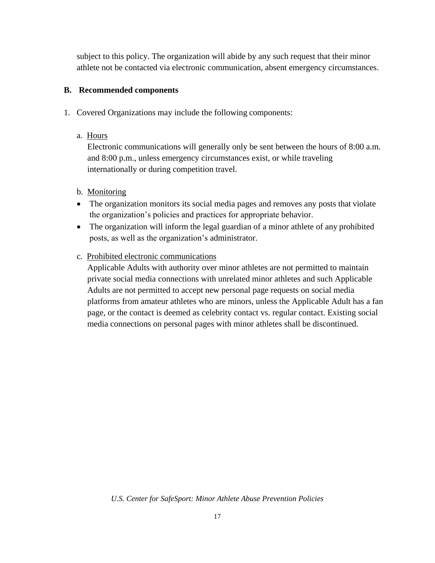subject to this policy. The organization will abide by any such request that their minor athlete not be contacted via electronic communication, absent emergency circumstances.

## **B. Recommended components**

- 1. Covered Organizations may include the following components:
	- a. Hours

Electronic communications will generally only be sent between the hours of 8:00 a.m. and 8:00 p.m., unless emergency circumstances exist, or while traveling internationally or during competition travel.

## b. Monitoring

- The organization monitors its social media pages and removes any posts that violate the organization's policies and practices for appropriate behavior.
- The organization will inform the legal guardian of a minor athlete of any prohibited posts, as well as the organization's administrator.
- c. Prohibited electronic communications

Applicable Adults with authority over minor athletes are not permitted to maintain private social media connections with unrelated minor athletes and such Applicable Adults are not permitted to accept new personal page requests on social media platforms from amateur athletes who are minors, unless the Applicable Adult has a fan page, or the contact is deemed as celebrity contact vs. regular contact. Existing social media connections on personal pages with minor athletes shall be discontinued.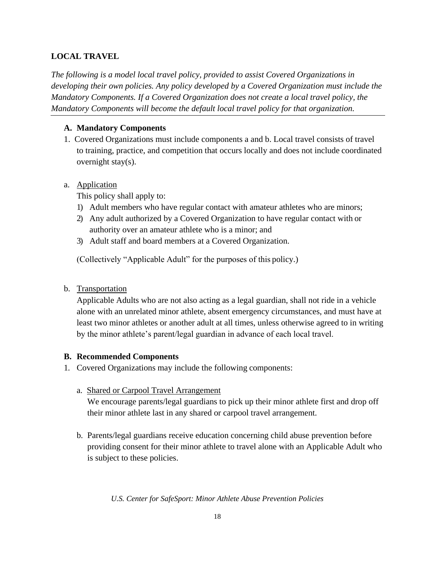## **LOCAL TRAVEL**

*The following is a model local travel policy, provided to assist Covered Organizations in developing their own policies. Any policy developed by a Covered Organization must include the Mandatory Components. If a Covered Organization does not create a local travel policy, the Mandatory Components will become the default local travel policy for that organization.*

## **A. Mandatory Components**

1. Covered Organizations must include components a and b. Local travel consists of travel to training, practice, and competition that occurs locally and does not include coordinated overnight stay(s).

## a. Application

This policy shall apply to:

- 1) Adult members who have regular contact with amateur athletes who are minors;
- 2) Any adult authorized by a Covered Organization to have regular contact with or authority over an amateur athlete who is a minor; and
- 3) Adult staff and board members at a Covered Organization.

(Collectively "Applicable Adult" for the purposes of this policy.)

b. Transportation

Applicable Adults who are not also acting as a legal guardian, shall not ride in a vehicle alone with an unrelated minor athlete, absent emergency circumstances, and must have at least two minor athletes or another adult at all times, unless otherwise agreed to in writing by the minor athlete's parent/legal guardian in advance of each local travel.

## **B. Recommended Components**

- 1. Covered Organizations may include the following components:
	- a. Shared or Carpool Travel Arrangement

We encourage parents/legal guardians to pick up their minor athlete first and drop off their minor athlete last in any shared or carpool travel arrangement.

b. Parents/legal guardians receive education concerning child abuse prevention before providing consent for their minor athlete to travel alone with an Applicable Adult who is subject to these policies.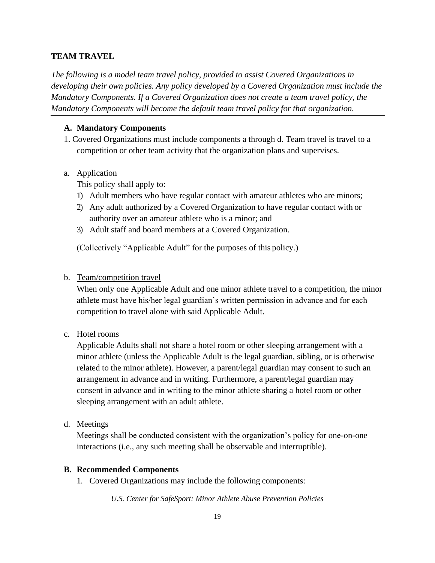#### **TEAM TRAVEL**

*The following is a model team travel policy, provided to assist Covered Organizations in developing their own policies. Any policy developed by a Covered Organization must include the Mandatory Components. If a Covered Organization does not create a team travel policy, the Mandatory Components will become the default team travel policy for that organization.*

#### **A. Mandatory Components**

1. Covered Organizations must include components a through d. Team travel is travel to a competition or other team activity that the organization plans and supervises.

#### a. Application

This policy shall apply to:

- 1) Adult members who have regular contact with amateur athletes who are minors;
- 2) Any adult authorized by a Covered Organization to have regular contact with or authority over an amateur athlete who is a minor; and
- 3) Adult staff and board members at a Covered Organization.

(Collectively "Applicable Adult" for the purposes of this policy.)

#### b. Team/competition travel

When only one Applicable Adult and one minor athlete travel to a competition, the minor athlete must have his/her legal guardian's written permission in advance and for each competition to travel alone with said Applicable Adult.

c. Hotel rooms

Applicable Adults shall not share a hotel room or other sleeping arrangement with a minor athlete (unless the Applicable Adult is the legal guardian, sibling, or is otherwise related to the minor athlete). However, a parent/legal guardian may consent to such an arrangement in advance and in writing. Furthermore, a parent/legal guardian may consent in advance and in writing to the minor athlete sharing a hotel room or other sleeping arrangement with an adult athlete.

d. Meetings

Meetings shall be conducted consistent with the organization's policy for one-on-one interactions (i.e., any such meeting shall be observable and interruptible).

#### **B. Recommended Components**

1. Covered Organizations may include the following components: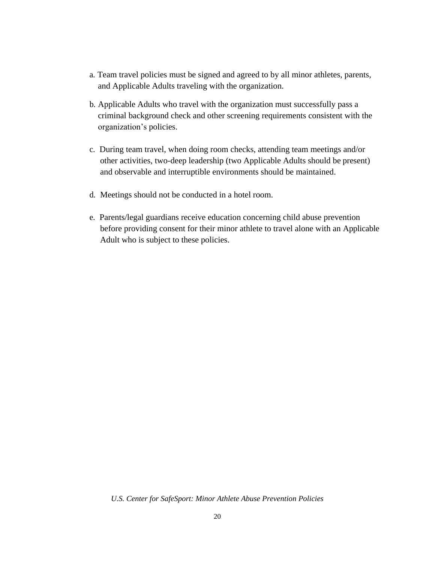- a. Team travel policies must be signed and agreed to by all minor athletes, parents, and Applicable Adults traveling with the organization.
- b. Applicable Adults who travel with the organization must successfully pass a criminal background check and other screening requirements consistent with the organization's policies.
- c. During team travel, when doing room checks, attending team meetings and/or other activities, two-deep leadership (two Applicable Adults should be present) and observable and interruptible environments should be maintained.
- d. Meetings should not be conducted in a hotel room.
- e. Parents/legal guardians receive education concerning child abuse prevention before providing consent for their minor athlete to travel alone with an Applicable Adult who is subject to these policies.